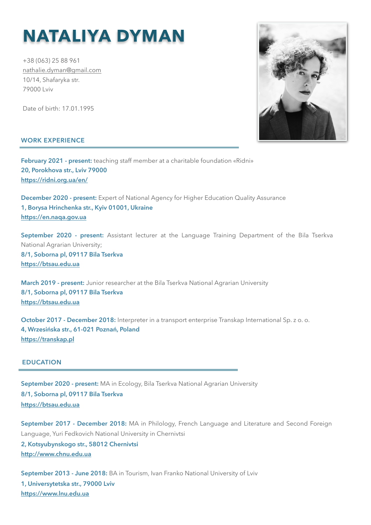# **NATALIYA DYMAN**

+38 (063) 25 88 961 [nathalie.dyman@gmail.com](mailto:nathalie.dyman@gmail.com) 10/14, Shafaryka str. 79000 Lviv

Date of birth: 17.01.1995

## **WORK EXPERIENCE**

**February 2021 - present:** teaching staff member at a charitable foundation «Ridni» **20, Porokhova str., Lviv 79000 <https://ridni.org.ua/en/>**

**December 2020 - present:** Expert of National Agency for Higher Education Quality Assurance **1, Borysa Hrinchenka str., Kyiv 01001, Ukraine <https://en.naqa.gov.ua>**

September 2020 - present: Assistant lecturer at the Language Training Department of the Bila Tserkva National Agrarian University; **8/1, Soborna pl, 09117 Bila Tserkva**

**<https://btsau.edu.ua>**

**March 2019 - present:** Junior researcher at the Bila Tserkva National Agrarian University **8/1, Soborna pl, 09117 Bila Tserkva <https://btsau.edu.ua>**

**October 2017 - December 2018:** Interpreter in a transport enterprise Transkap International Sp. z o. o. **4, Wrzesińska str., 61-021 Poznań, Poland <https://transkap.pl>**

## **EDUCATION**

**September 2020 - present:** MA in Ecology, Bila Tserkva National Agrarian University **8/1, Soborna pl, 09117 Bila Tserkva <https://btsau.edu.ua>**

**September 2017 - December 2018:** MA in Philology, French Language and Literature and Second Foreign Language, Yuri Fedkovich National University in Chernivtsi **2, Kotsyubynskogo str., 58012 Chernivtsi <http://www.chnu.edu.ua>**

**September 2013 - June 2018:** BA in Tourism, Ivan Franko National University of Lviv **1, Universytetska str., 79000 Lviv <https://www.lnu.edu.ua>**

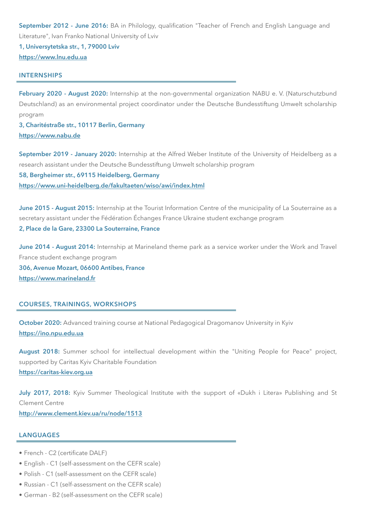**September 2012 - June 2016:** BA in Philology, qualification "Teacher of French and English Language and Literature", Ivan Franko National University of Lviv

**1, Universytetska str., 1, 79000 Lviv <https://www.lnu.edu.ua>**

#### **INTERNSHIPS**

**February 2020 - August 2020:** Internship at the non-governmental organization NABU e. V. (Naturschutzbund Deutschland) as an environmental project coordinator under the Deutsche Bundesstiftung Umwelt scholarship program

**3, Charitéstraße str., 10117 Berlin, Germany <https://www.nabu.de>**

**September 2019 - January 2020:** Internship at the Alfred Weber Institute of the University of Heidelberg as a research assistant under the Deutsche Bundesstiftung Umwelt scholarship program

**58, Bergheimer str., 69115 Heidelberg, Germany <https://www.uni-heidelberg.de/fakultaeten/wiso/awi/index.html>**

**June 2015 - August 2015:** Internship at the Tourist Information Centre of the municipality of La Souterraine as a secretary assistant under the Fédération Échanges France Ukraine student exchange program **2, Place de la Gare, 23300 La Souterraine, France**

**June 2014 - August 2014:** Internship at Marineland theme park as a service worker under the Work and Travel France student exchange program **306, Avenue Mozart, 06600 Antibes, France <https://www.marineland.fr>**

## **COURSES, TRAININGS, WORKSHOPS**

**October 2020:** Advanced training course at National Pedagogical Dragomanov University in Kyiv **<https://ino.npu.edu.ua>**

**August 2018:** Summer school for intellectual development within the "Uniting People for Peace" project, supported by Caritas Kyiv Charitable Foundation **<https://caritas-kiev.org.ua>**

**July 2017, 2018:** Kyiv Summer Theological Institute with the support of «Dukh i Litera» Publishing and St Clement Centre

**<http://www.clement.kiev.ua/ru/node/1513>**

## **LANGUAGES**

- French C2 (certificate DALF)
- English C1 (self-assessment on the CEFR scale)
- Polish C1 (self-assessment on the CEFR scale)
- Russian C1 (self-assessment on the CEFR scale)
- German B2 (self-assessment on the CEFR scale)